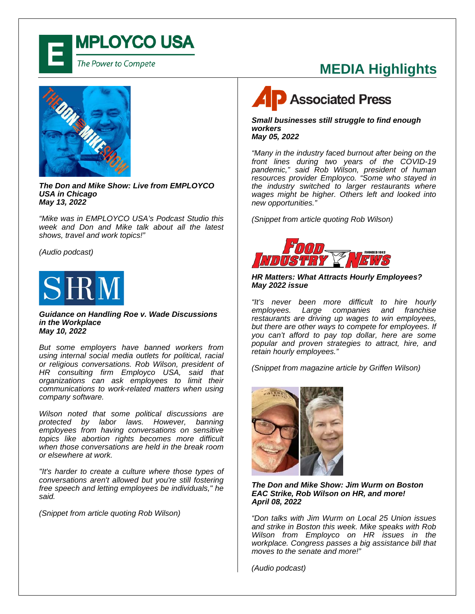

### **MEDIA Highlights**



*The Don and Mike Show: Live from EMPLOYCO USA in Chicago May 13, 2022*

*"Mike was in EMPLOYCO USA's Podcast Studio this week and Don and Mike talk about all the latest shows, travel and work topics!"*

*(Audio podcast)*



*Guidance on Handling Roe v. Wade Discussions in the Workplace May 10, 2022*

*But some employers have banned workers from using internal social media outlets for political, racial or religious conversations. Rob Wilson, president of HR consulting firm Employco USA, said that organizations can ask employees to limit their communications to work-related matters when using company software.*

*Wilson noted that some political discussions are protected by labor laws. However, banning employees from having conversations on sensitive topics like abortion rights becomes more difficult when those conversations are held in the break room or elsewhere at work.*

*"It's harder to create a culture where those types of conversations aren't allowed but you're still fostering free speech and letting employees be individuals," he said.*

*(Snippet from article quoting Rob Wilson)*

## **P** Associated Press

*Small businesses still struggle to find enough workers May 05, 2022*

*"Many in the industry faced burnout after being on the front lines during two years of the COVID-19 pandemic," said Rob Wilson, president of human resources provider Employco. "Some who stayed in the industry switched to larger restaurants where wages might be higher. Others left and looked into new opportunities."*

*(Snippet from article quoting Rob Wilson)*



#### *HR Matters: What Attracts Hourly Employees? May 2022 issue*

*"It's never been more difficult to hire hourly employees. Large companies and franchise restaurants are driving up wages to win employees, but there are other ways to compete for employees. If you can't afford to pay top dollar, here are some popular and proven strategies to attract, hire, and retain hourly employees."*

*(Snippet from magazine article by Griffen Wilson)*



#### *The Don and Mike Show: Jim Wurm on Boston EAC Strike, Rob Wilson on HR, and more! April 08, 2022*

*"Don talks with Jim Wurm on Local 25 Union issues and strike in Boston this week. Mike speaks with Rob Wilson from Employco on HR issues in the workplace. Congress passes a big assistance bill that moves to the senate and more!"*

*(Audio podcast)*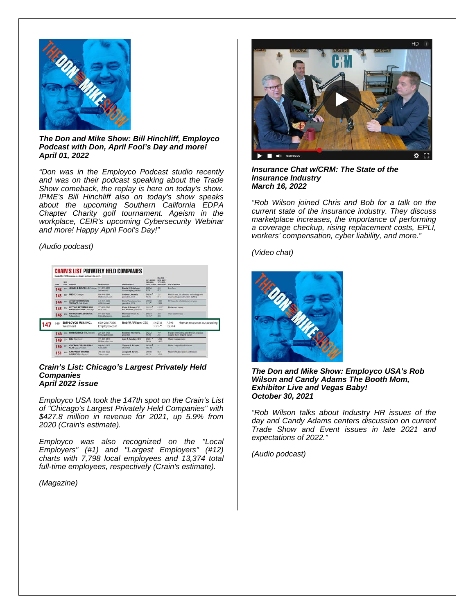

#### *The Don and Mike Show: Bill Hinchliff, Employco Podcast with Don, April Fool's Day and more! April 01, 2022*

*"Don was in the Employco Podcast studio recently and was on their podcast speaking about the Trade Show comeback, the replay is here on today's show. IPME's Bill Hinchliff also on today's show speaks about the upcoming Southern California EDPA Chapter Charity golf tournament. Ageism in the workplace, CEIR's upcoming Cybersecurity Webinar and more! Happy April Fool's Day!"*

#### *(Audio podcast)*

|  | <b>KNKK</b> | 3621<br><b>Birth</b> | CONFIGURE<br>JENNER & BLOCK LLP: Chicago 312-222-0350<br><b>MEDIX, Chicago</b><br><b>ATHLETICO PHYSICAL</b><br>THERAPY, Cole Sylvia<br>LETTUCE ENTERTAIN YOU<br><b>ENTERPRISES INC., Chicago</b><br>PATRICK DEALER GROUP.<br><b>Schaumburg</b> | <b>PATALNESSTE</b><br><b>Jeromeconi</b><br><b>ANG 446-1149</b><br><b>MedicTeam</b> com<br>630-575-6200<br><b>Attributions course</b><br><b>371.876, 7340</b><br>LETE com<br>847,625,6200<br><b>Public of Janscom</b> | THE EXECUTIVES:<br>Randy E. Melvberg.<br>str-managing paitner<br><b>Andrew Limously</b><br>carolidays, CEO<br>Chris Thouchourton.<br>geesiders, CEO<br>Keyle J. Brown, CEO.<br><b>R.I. Melman, president</b><br>Hanley Dawson IV.<br>pean/class | <b>JASH AVENUE</b><br><b>MICILIANS</b><br><b>SANA CAMER</b><br>SAISS<br>4.3%<br>Sekta 1<br>29.9%<br>Sessio<br>4,360<br>60019<br>16.06.<br>5433.4<br>14.0% | <b>DELTAR</b><br><b>BOOK VINN</b><br>13/31/3025<br>MAILDIGN<br>465<br>833<br>125<br>441<br>1.987<br><b>TRAA</b><br>4365*<br>8,060<br>370<br>396 | THE OF HISPATES<br>Law Syria                                                                                                                                      |  |
|--|-------------|----------------------|------------------------------------------------------------------------------------------------------------------------------------------------------------------------------------------------------------------------------------------------|----------------------------------------------------------------------------------------------------------------------------------------------------------------------------------------------------------------------|-------------------------------------------------------------------------------------------------------------------------------------------------------------------------------------------------------------------------------------------------|-----------------------------------------------------------------------------------------------------------------------------------------------------------|-------------------------------------------------------------------------------------------------------------------------------------------------|-------------------------------------------------------------------------------------------------------------------------------------------------------------------|--|
|  | 142         |                      |                                                                                                                                                                                                                                                |                                                                                                                                                                                                                      |                                                                                                                                                                                                                                                 |                                                                                                                                                           |                                                                                                                                                 |                                                                                                                                                                   |  |
|  | 143         |                      |                                                                                                                                                                                                                                                |                                                                                                                                                                                                                      |                                                                                                                                                                                                                                                 |                                                                                                                                                           |                                                                                                                                                 | Health care. My sciences technology and<br>engineering/construction staffing<br>Orthopedic rehabilitation services<br><b>Restaurant owner</b><br>Auto dealerships |  |
|  | 144         | 141                  |                                                                                                                                                                                                                                                |                                                                                                                                                                                                                      |                                                                                                                                                                                                                                                 |                                                                                                                                                           |                                                                                                                                                 |                                                                                                                                                                   |  |
|  | 145<br>146  | 153<br>154           |                                                                                                                                                                                                                                                |                                                                                                                                                                                                                      |                                                                                                                                                                                                                                                 |                                                                                                                                                           |                                                                                                                                                 |                                                                                                                                                                   |  |
|  |             |                      |                                                                                                                                                                                                                                                |                                                                                                                                                                                                                      |                                                                                                                                                                                                                                                 |                                                                                                                                                           |                                                                                                                                                 |                                                                                                                                                                   |  |
|  | 149         |                      | <b>EMPLOYCO USA INC.,</b><br>Westmont                                                                                                                                                                                                          | 630-286-7356<br>Employco.com                                                                                                                                                                                         | Rob W. Wilson, CEO                                                                                                                                                                                                                              |                                                                                                                                                           | \$427.8<br>$5.9\%$                                                                                                                              | 7.798<br>Human resources outsourcing<br>13,374                                                                                                                    |  |
|  | 148         | 218                  | <b>RIM LOGISTICS LTD.</b> , Results                                                                                                                                                                                                            | 224-306-3700<br>Kent pointies com                                                                                                                                                                                    | <b>Robert J. Muslier IV</b><br>gesti-bost                                                                                                                                                                                                       | \$427.2<br><b>DC 8%</b>                                                                                                                                   | 149<br>545                                                                                                                                      | Freight kenneding, drahibution, logistics,<br>supply chain, import, export.                                                                                       |  |
|  | $149 =$     |                      | <b>LRS.</b> Rosemont                                                                                                                                                                                                                           | <b>771,685,8811</b><br>LRS/lecycles.com                                                                                                                                                                              | Alan T. Handley, CEO                                                                                                                                                                                                                            | \$426.17<br><b>ZA 0%</b>                                                                                                                                  | 1,500<br>1,500                                                                                                                                  | Waste management                                                                                                                                                  |  |
|  | 150         | <b>364</b>           | <b>CHICAGO CUBS BASEBALL</b><br><b>CLUB LLC.</b> Chicago                                                                                                                                                                                       | 800-843-2822<br>Cubiczone                                                                                                                                                                                            | Thomas S. Ricketts<br><b>chairman</b>                                                                                                                                                                                                           | 5425.87<br>140.2%                                                                                                                                         | -                                                                                                                                               | Major League Baurball team                                                                                                                                        |  |
|  | 151         | 165                  | <b>CAMPAGNA-TURANO</b><br><b>BAKERY INC., Serveyn</b>                                                                                                                                                                                          | FOR 793-9225<br>Tekenn com                                                                                                                                                                                           | Joseph M. Turano.<br>garddent.                                                                                                                                                                                                                  | $S$ atsa<br>29.7%                                                                                                                                         | 682<br>3,006                                                                                                                                    | Maker of baked goods and breach                                                                                                                                   |  |

#### *Crain's List: Chicago's Largest Privately Held Companies April 2022 issue*

*Employco USA took the 147th spot on the Crain's List of "Chicago's Largest Privately Held Companies" with \$427.8 million in revenue for 2021, up 5.9% from 2020 (Crain's estimate).*

*Employco was also recognized on the "Local Employers" (#1) and "Largest Employers" (#12) charts with 7,798 local employees and 13,374 total full-time employees, respectively (Crain's estimate).*

*(Magazine)*



*Insurance Chat w/CRM: The State of the Insurance Industry March 16, 2022*

*"Rob Wilson joined Chris and Bob for a talk on the current state of the insurance industry. They discuss marketplace increases, the importance of performing a coverage checkup, rising replacement costs, EPLI, workers' compensation, cyber liability, and more."*

*(Video chat)*



*The Don and Mike Show: Employco USA's Rob Wilson and Candy Adams The Booth Mom, Exhibitor Live and Vegas Baby! October 30, 2021*

*"Rob Wilson talks about Industry HR issues of the day and Candy Adams centers discussion on current Trade Show and Event issues in late 2021 and expectations of 2022."*

*(Audio podcast)*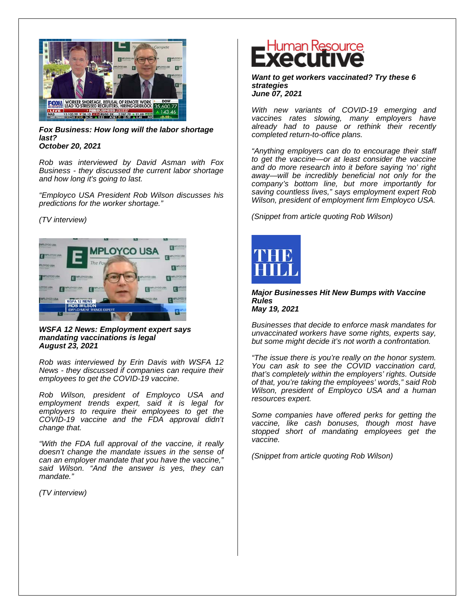

*Fox Business: How long will the labor shortage last? October 20, 2021*

*Rob was interviewed by David Asman with Fox Business - they discussed the current labor shortage and how long it's going to last.*

*"Employco USA President Rob Wilson discusses his predictions for the worker shortage."*

#### *(TV interview)*



*WSFA 12 News: Employment expert says mandating vaccinations is legal August 23, 2021*

*Rob was interviewed by Erin Davis with WSFA 12 News - they discussed if companies can require their employees to get the COVID-19 vaccine.*

*Rob Wilson, president of Employco USA and employment trends expert, said it is legal for employers to require their employees to get the COVID-19 vaccine and the FDA approval didn't change that.*

*"With the FDA full approval of the vaccine, it really doesn't change the mandate issues in the sense of can an employer mandate that you have the vaccine," said Wilson. "And the answer is yes, they can mandate."*

*(TV interview)*

# Human Resource

*Want to get workers vaccinated? Try these 6 strategies June 07, 2021*

*With new variants of COVID-19 emerging and vaccines rates slowing, many employers have already had to pause or rethink their recently completed return-to-office plans.*

*"Anything employers can do to encourage their staff to get the vaccine—or at least consider the vaccine and do more research into it before saying 'no' right away—will be incredibly beneficial not only for the company's bottom line, but more importantly for saving countless lives," says employment expert Rob Wilson, president of employment firm Employco USA.*

*(Snippet from article quoting Rob Wilson)*



*Major Businesses Hit New Bumps with Vaccine Rules May 19, 2021*

*Businesses that decide to enforce mask mandates for unvaccinated workers have some rights, experts say, but some might decide it's not worth a confrontation.*

*"The issue there is you're really on the honor system. You can ask to see the COVID vaccination card, that's completely within the employers' rights. Outside of that, you're taking the employees' words," said Rob Wilson, president of Employco USA and a human resources expert.* 

*Some companies have offered perks for getting the vaccine, like cash bonuses, though most have stopped short of mandating employees get the vaccine.*

*(Snippet from article quoting Rob Wilson)*